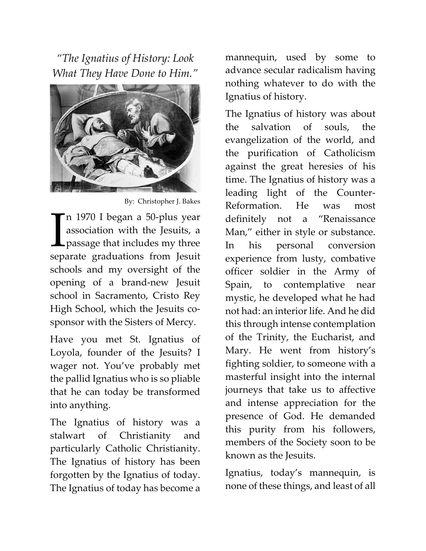"The Ignatius of History: Look What They Have Done to Him."



By: Christopher J. Bakes

n 1970 I began a 50-plus year association with the Jesuits, a **L** passage that includes my three In 1970 I began a 50-plus year<br>association with the Jesuits, a<br>passage that includes my three<br>separate graduations from Jesuit schools and my oversight of the opening of a brand-new Jesuit school in Sacramento, Cristo Rey High School, which the Jesuits cosponsor with the Sisters of Mercy.

Have you met St. Ignatius of Loyola, founder of the Jesuits? I wager not. You've probably met the pallid Ignatius who is so pliable that he can today be transformed into anything.

The Ignatius of history was a stalwart of Christianity and particularly Catholic Christianity. The Ignatius of history has been forgotten by the Ignatius of today. The Ignatius of today has become a

mannequin, used by some to advance secular radicalism having nothing whatever to do with the Ignatius of history.

The Ignatius of history was about the salvation of souls, the evangelization of the world, and the purification of Catholicism against the great heresies of his time. The Ignatius of history was a leading light of the Counter-Reformation. He was most definitely not a "Renaissance Man," either in style or substance. In his personal conversion experience from lusty, combative officer soldier in the Army of Spain, to contemplative near mystic, he developed what he had not had: an interior life. And he did this through intense contemplation of the Trinity, the Eucharist, and Mary. He went from history's fighting soldier, to someone with a masterful insight into the internal journeys that take us to affective and intense appreciation for the presence of God. He demanded this purity from his followers, members of the Society soon to be known as the Jesuits.

Ignatius, today's mannequin, is none of these things, and least of all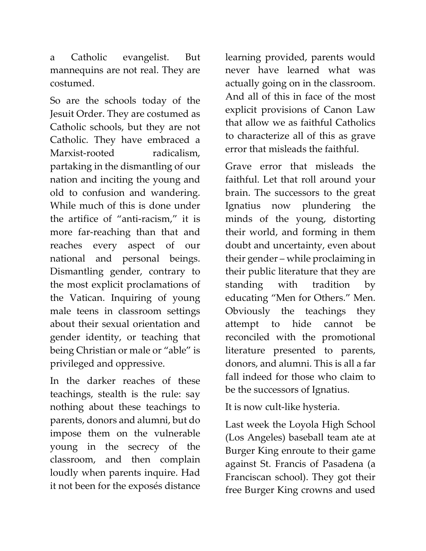a Catholic evangelist. But mannequins are not real. They are costumed.

So are the schools today of the Jesuit Order. They are costumed as Catholic schools, but they are not Catholic. They have embraced a Marxist-rooted radicalism. partaking in the dismantling of our nation and inciting the young and old to confusion and wandering. While much of this is done under the artifice of "anti-racism," it is more far-reaching than that and reaches every aspect of our national and personal beings. Dismantling gender, contrary to the most explicit proclamations of the Vatican. Inquiring of young male teens in classroom settings about their sexual orientation and gender identity, or teaching that being Christian or male or "able" is privileged and oppressive.

In the darker reaches of these teachings, stealth is the rule: say nothing about these teachings to parents, donors and alumni, but do impose them on the vulnerable young in the secrecy of the classroom, and then complain loudly when parents inquire. Had it not been for the exposés distance learning provided, parents would never have learned what was actually going on in the classroom. And all of this in face of the most explicit provisions of Canon Law that allow we as faithful Catholics to characterize all of this as grave error that misleads the faithful.

Grave error that misleads the faithful. Let that roll around your brain. The successors to the great Ignatius now plundering the minds of the young, distorting their world, and forming in them doubt and uncertainty, even about their gender – while proclaiming in their public literature that they are standing with tradition by educating "Men for Others." Men. Obviously the teachings they attempt to hide cannot be reconciled with the promotional literature presented to parents, donors, and alumni. This is all a far fall indeed for those who claim to be the successors of Ignatius.

It is now cult-like hysteria.

Last week the Loyola High School (Los Angeles) baseball team ate at Burger King enroute to their game against St. Francis of Pasadena (a Franciscan school). They got their free Burger King crowns and used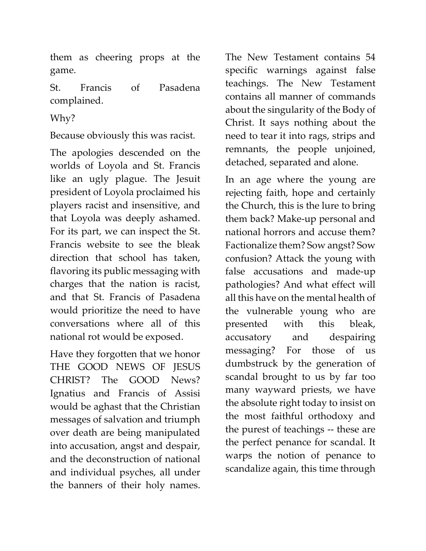them as cheering props at the game.

St. Francis of Pasadena complained.

Why?

Because obviously this was racist.

The apologies descended on the worlds of Loyola and St. Francis like an ugly plague. The Jesuit president of Loyola proclaimed his players racist and insensitive, and that Loyola was deeply ashamed. For its part, we can inspect the St. Francis website to see the bleak direction that school has taken, flavoring its public messaging with charges that the nation is racist, and that St. Francis of Pasadena would prioritize the need to have conversations where all of this national rot would be exposed.

Have they forgotten that we honor THE GOOD NEWS OF JESUS CHRIST? The GOOD News? Ignatius and Francis of Assisi would be aghast that the Christian messages of salvation and triumph over death are being manipulated into accusation, angst and despair, and the deconstruction of national and individual psyches, all under the banners of their holy names.

The New Testament contains 54 specific warnings against false teachings. The New Testament contains all manner of commands about the singularity of the Body of Christ. It says nothing about the need to tear it into rags, strips and remnants, the people unjoined, detached, separated and alone.

In an age where the young are rejecting faith, hope and certainly the Church, this is the lure to bring them back? Make-up personal and national horrors and accuse them? Factionalize them? Sow angst? Sow confusion? Attack the young with false accusations and made-up pathologies? And what effect will all this have on the mental health of the vulnerable young who are presented with this bleak, accusatory and despairing messaging? For those of us dumbstruck by the generation of scandal brought to us by far too many wayward priests, we have the absolute right today to insist on the most faithful orthodoxy and the purest of teachings -- these are the perfect penance for scandal. It warps the notion of penance to scandalize again, this time through